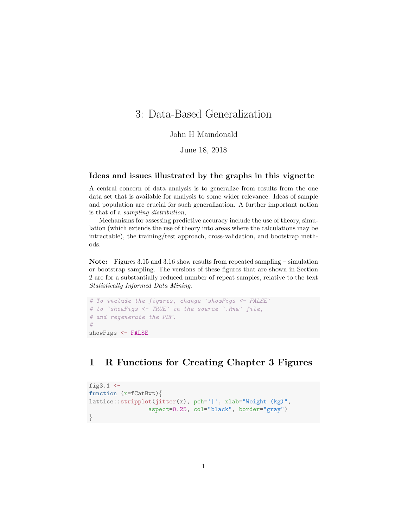# 3: Data-Based Generalization

### John H Maindonald

June 18, 2018

#### Ideas and issues illustrated by the graphs in this vignette

A central concern of data analysis is to generalize from results from the one data set that is available for analysis to some wider relevance. Ideas of sample and population are crucial for such generalization. A further important notion is that of a sampling distribution,

Mechanisms for assessing predictive accuracy include the use of theory, simulation (which extends the use of theory into areas where the calculations may be intractable), the training/test approach, cross-validation, and bootstrap methods.

Note: Figures 3.15 and 3.16 show results from repeated sampling – simulation or bootstrap sampling. The versions of these figures that are shown in Section 2 are for a substantially reduced number of repeat samples, relative to the text Statistically Informed Data Mining.

```
# To include the figures, change `showFigs <- FALSE
# to `showFigs <- TRUE` in the source `.Rnw` file,
# and regenerate the PDF.
#
showFigs <- FALSE
```
## 1 R Functions for Creating Chapter 3 Figures

```
fig3.1 <-
function (x=fCatBwt){
lattice::stripplot(jitter(x), pch='|', xlab="Weight (kg)",
                 aspect=0.25, col="black", border="gray")
}
```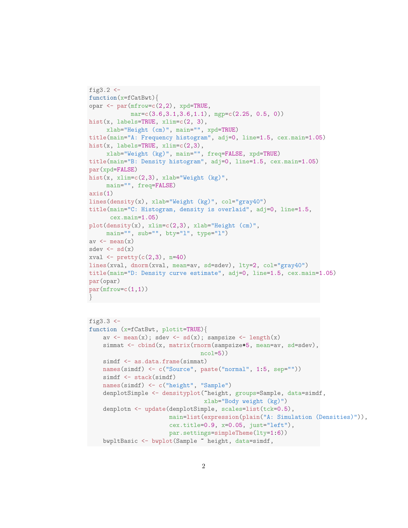```
fig3.2 \leftarrowfunction(x=fCatBwt){
opar <- par(mfrow=c(2,2), xpd=TRUE,
            mar=c(3.6,3.1,3.6,1.1), mgp=c(2.25, 0.5, 0))
hist(x, labels=TRUE, xlim=c(2, 3),
     xlab="Height (cm)", main="", xpd=TRUE)
title(main="A: Frequency histogram", adj=0, line=1.5, cex.main=1.05)
hist(x, labels=TRUE, xlim=c(2,3),
     xlab="Weight (kg)", main="", freq=FALSE, xpd=TRUE)
title(main="B: Density histogram", adj=0, line=1.5, cex.main=1.05)
par(xpd=FALSE)
hist(x, xlim=c(2,3), xlab="Weight (kg)",
     main="", freq=FALSE)
axis(1)lines(density(x), xlab="Weight (kg)", col="gray40")
title(main="C: Histogram, density is overlaid", adj=0, line=1.5,
      cex.main=1.05)
plot(density(x), xlim=c(2,3), xlab="Height (cm)",
    main="", sub="", bty="l", type="l")
av \leftarrow mean(x)sdev \leftarrow sd(x)xval \le pretty(c(2,3), n=40)
lines(xval, dnorm(xval, mean=av, sd=sdev), lty=2, col="gray40")
title(main="D: Density curve estimate", adj=0, line=1.5, cex.main=1.05)
par(opar)
par(mfrow=c(1,1))}
```

```
fig3.3 \leftarrowfunction (x=fCatBwt, plotit=TRUE){
    av \leq mean(x); sdev \leq sd(x); sampsize \leq length(x)simmat <- cbind(x, matrix(rnorm(sampsize*5, mean=av, sd=sdev),
                                ncol=5))
    simdf <- as.data.frame(simmat)
    names(simdf) <- c("Source", paste("normal", 1:5, sep=""))
    simdf <- stack(simdf)
    names(simdf) <- c("height", "Sample")
    denplotSimple <- densityplot("height, groups=Sample, data=simdf,
                                  xlab="Body weight (kg)")
    denplotn <- update(denplotSimple, scales=list(tck=0.5),
                       main=list(expression(plain("A: Simulation (Densities)")),
                       cex.title=0.9, x=0.05, just="left"),
                       par.settings=simpleTheme(lty=1:6))
    bwpltBasic <- bwplot(Sample ~ height, data=simdf,
```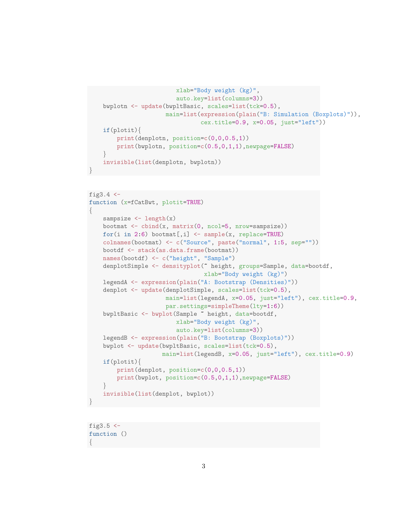```
xlab="Body weight (kg)",
                     auto.key=list(columns=3))
bwplotn <- update(bwpltBasic, scales=list(tck=0.5),
                  main=list(expression(plain("B: Simulation (Boxplots)")),
                            cex.title=0.9, x=0.05, just="left"))
if(plotit){
    print(denplotn, position=c(0,0,0.5,1))
   print(bwplotn, position=c(0.5,0,1,1),newpage=FALSE)
}
invisible(list(denplotn, bwplotn))
```

```
fig3.4 \leftarrowfunction (x=fCatBwt, plotit=TRUE)
{
   sampsize \leftarrow length(x)bootmat \le cbind(x, matrix(0, ncol=5, nrow=sampsize))
   for(i in 2:6) bootmat[,i] <- sample(x, replace=TRUE)
    colnames(bootmat) <- c("Source", paste("normal", 1:5, sep=""))
   bootdf <- stack(as.data.frame(bootmat))
   names(bootdf) <- c("height", "Sample")
   denplotSimple <- densityplot(~ height, groups=Sample, data=bootdf,
                                 xlab="Body weight (kg)")
   legendA <- expression(plain("A: Bootstrap (Densities)"))
    denplot <- update(denplotSimple, scales=list(tck=0.5),
                      main=list(legendA, x=0.05, just="left"), cex.title=0.9,
                      par.settings=simpleTheme(lty=1:6))
    bwpltBasic <- bwplot(Sample ~ height, data=bootdf,
                         xlab="Body weight (kg)",
                         auto.key=list(columns=3))
   legendB <- expression(plain("B: Bootstrap (Boxplots)"))
    bwplot <- update(bwpltBasic, scales=list(tck=0.5),
                     main=list(legendB, x=0.05, just="left"), cex.title=0.9)
    if(plotit){
        print(denplot, position=c(0,0,0.5,1))
        print(bwplot, position=c(0.5,0,1,1),newpage=FALSE)
    }
    invisible(list(denplot, bwplot))
}
```

```
fig3.5 \leftarrowfunction ()
{
```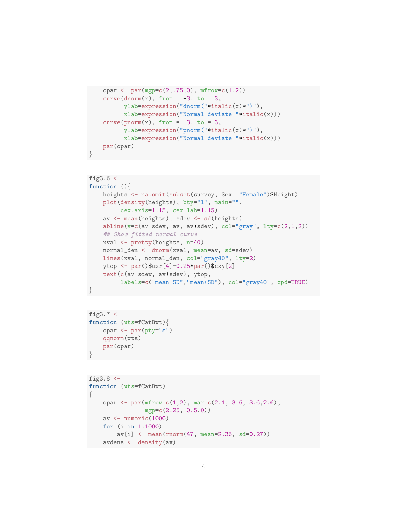```
opar \leq par(mgp=c(2,.75,0), mfrow=c(1,2))
curve(dnorm(x), from = -3, to = 3,
      ylab=expression("dnorm("*italic(x)*")"),
      xlab=expression("Normal deviate "*italic(x)))
curve(pnorm(x), from = -3, to = 3,ylab=expression("pnorm("*italic(x)*")"),
      xlab=expression("Normal deviate "*italic(x)))
par(opar)
```

```
fig3.6 \leftarrowfunction (){
   heights <- na.omit(subset(survey, Sex=="Female")$Height)
   plot(density(heights), bty="l", main="",
         cex.axis=1.15, cex.lab=1.15)
   av <- mean(heights); sdev <- sd(heights)
   abline(v=c(av-sdev, av, av+sdev), col="gray", lty=c(2,1,2))## Show fitted normal curve
   xval <- pretty(heights, n=40)
   normal_den <- dnorm(xval, mean=av, sd=sdev)
   lines(xval, normal_den, col="gray40", lty=2)
   ytop <- par()$usr[4]-0.25*par()$cxy[2]
    text(c(av-sdev, av+sdev), ytop,
         labels=c("mean-SD","mean+SD"), col="gray40", xpd=TRUE)
}
```

```
fig3.7 < -function (wts=fCatBwt){
    opar <- par(pty="s")
    qqnorm(wts)
    par(opar)
}
```

```
fig3.8 < -function (wts=fCatBwt)
{
    opar \leq par(mfrow=c(1,2), mar=c(2.1, 3.6, 3.6, 2.6),
                mgp=c(2.25, 0.5,0))
    av <- numeric(1000)
    for (i in 1:1000)
        av[i] <- mean(rnorm(47, mean=2.36, sd=0.27))
    avdens <- density(av)
```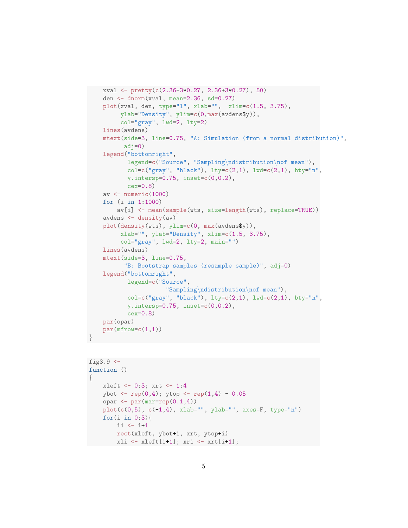```
xval <- pretty(c(2.36-3*0.27, 2.36+3*0.27), 50)
den <- dnorm(xval, mean=2.36, sd=0.27)
plot(xval, den, type="l", xlab="", xlim=c(1.5, 3.75),
     ylab="Density", ylim=c(0,max(avdens$y)),
     col="gray", lwd=2, lty=2)
lines(avdens)
mtext(side=3, line=0.75, "A: Simulation (from a normal distribution)",
      adj=0)legend("bottomright",
       legend=c("Source", "Sampling\ndistribution\nof mean"),
       col=c("gray", "black"), lty=c(2,1), lwd=c(2,1), bty="n",
       y.intersp=0.75, inset=c(0,0.2),
       cex=0.8)
av \leftarrow numeric(1000)
for (i in 1:1000)
    av[i] <- mean(sample(wts, size=length(wts), replace=TRUE))
avdens \leftarrow density(av)
plot(density(wts), ylim=c(0, max(avdens$y)),
     xlab="", ylab="Density", xlim=c(1.5, 3.75),
     col="gray", lwd=2, lty=2, main="")
lines(avdens)
mtext(side=3, line=0.75,
      "B: Bootstrap samples (resample sample)", adj=0)
legend("bottomright",
       legend=c("Source",
                  "Sampling\ndistribution\nof mean"),
       col=c("gray", "black"), \, 1ty=c(2,1), \, 1wd=c(2,1), \, bty="n",v.intersp=0.75, insect=c(0,0.2),cex=0.8par(opar)
par(mfrow=c(1,1))
```

```
fig3.9 \leftarrowfunction ()
{
    xleft <- 0:3; xrt <- 1:4
    ybot \leq rep(0,4); ytop \leq rep(1,4) - 0.05
    opar \leftarrow par(mar=rep(0.1,4))
    plot(c(0,5), c(-1,4), xlab="", ylab="", axes=F, type="n")
    for(i in 0:3){
         i1 <- i+1rect(xleft, ybot+i, xrt, ytop+i)
         xli \leftarrow xleft[i+1]; xri \leftarrow xrt[i+1];
```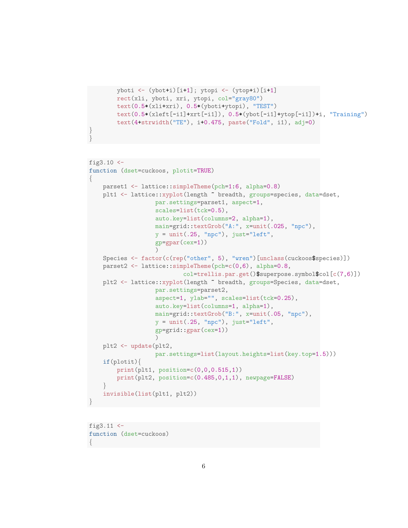```
yboti <- (ybot+i)[i+1]; ytopi <- (ytop+i)[i+1]
rect(xli, yboti, xri, ytopi, col="gray80")
text(0.5*(xli+xri), 0.5*(yboti+ytopi), "TEST")
text(0.5*(xleft[-i1]+xrt[-i1]), 0.5*(ybot[-i1]+ytop[-i1])+i, "Training")
text(4+strwidth("TE"), i+0.475, paste("Fold", i1), adj=0)
```

```
fig3.10 < -function (dset=cuckoos, plotit=TRUE)
{
   parset1 <- lattice::simpleTheme(pch=1:6, alpha=0.8)
   plt1 <- lattice::xyplot(length ~ breadth, groups=species, data=dset,
                  par.settings=parset1, aspect=1,
                   scales=list(tck=0.5),
                   auto.key=list(columns=2, alpha=1),
                   main=grid::textGrob("A:", x=unit(.025, "npc"),
                   y = unit(.25, "npc"), just="left",gp=gpar(cex=1))
                   )
    Species <- factor(c(rep("other", 5), "wren")[unclass(cuckoos$species)])
   parset2 <- lattice::simpleTheme(pch=c(0,6), alpha=0.8,
                           col=trellis.par.get()$superpose.symbol$col[c(7,6)])
   plt2 <- lattice::xyplot(length ~ breadth, groups=Species, data=dset,
                   par.settings=parset2,
                   aspect=1, ylab="", scales=list(tck=0.25),
                   auto.key=list(columns=1, alpha=1),
                   main=grid::textGrob("B:", x=unit(.05, "npc"),
                   y = unit(.25, "npc"), just="left",
                   gp=grid::gpar(cex=1))
                   )
   plt2 <- update(plt2,
                   par.settings=list(layout.heights=list(key.top=1.5)))
    if(plotit){
        print(plt1, position=c(0,0,0.515,1))
        print(plt2, position=c(0.485,0,1,1), newpage=FALSE)
    }
    invisible(list(plt1, plt2))
}
```
fig $3.11$  <function (dset=cuckoos) {

} }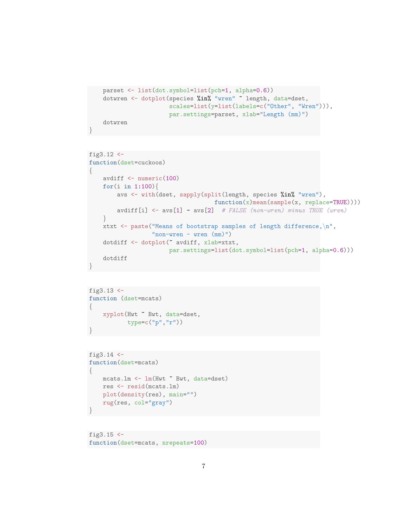```
parset <- list(dot.symbol=list(pch=1, alpha=0.6))
dotwren <- dotplot(species %in% "wren" ~ length, data=dset,
                   scales=list(y=list(labels=c("Other", "Wren"))),
                   par.settings=parset, xlab="Length (mm)")
dotwren
```

```
fig3.12 <-
function(dset=cuckoos)
{
   avdiff <- numeric(100)
   for(i in 1:100){
        avs <- with(dset, sapply(split(length, species %in% "wren"),
                                     function(x)mean(sample(x, replace=TRUE))))
        avdiff[i] <- avs[i] - avs[2] # FALSE (non-wren) minus TRUE (wren)}
    xtxt \leq paste("Means of bootstrap samples of length difference, \langle n \rangle",
                   "non-wren - wren (mm)")
    dotdiff <- dotplot(~ avdiff, xlab=xtxt,
                        par.settings=list(dot.symbol=list(pch=1, alpha=0.6)))
    dotdiff
}
```

```
fig3.13 \leftarrowfunction (dset=mcats)
\left\{ \right.xyplot(Hwt ~ Bwt, data=dset,
              type=c("p","r"))
}
```

```
fig3.14 \leftarrowfunction(dset=mcats)
\left\{ \right.mcats.lm <- lm(Hwt ~ Bwt, data=dset)
    res <- resid(mcats.lm)
    plot(density(res), main="")
    rug(res, col="gray")
}
```
fig $3.15$   $\leftarrow$ function(dset=mcats, nrepeats=100)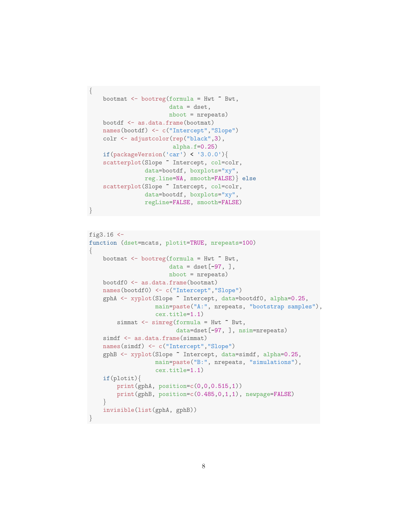```
bootmat <- bootreg(formula = Hwt ~ Bwt,
                   data = dset,nboot = nrepeats)
bootdf <- as.data.frame(bootmat)
names(bootdf) <- c("Intercept","Slope")
colr <- adjustcolor(rep("black",3),
                    alpha.f=0.25)
if(packageVersion('car') < '3.0.0'){
scatterplot(Slope ~ Intercept, col=colr,
            data=bootdf, boxplots="xy",
            reg.line=NA, smooth=FALSE)} else
scatterplot(Slope ~ Intercept, col=colr,
            data=bootdf, boxplots="xy",
            regLine=FALSE, smooth=FALSE)
```
{

```
fig3.16 <-
function (dset=mcats, plotit=TRUE, nrepeats=100)
{
    bootmat \leq bootreg(formula = Hwt \tilde{\leq} Bwt,
                       data = dest[-97, ],
                       nboot = nrepeats)
    bootdf0 <- as.data.frame(bootmat)
    names(bootdf0) <- c("Intercept","Slope")
    gphA <- xyplot(Slope ~ Intercept, data=bootdf0, alpha=0.25,
                   main=paste("A:", nrepeats, "bootstrap samples"),
                   cex.title=1.1)
        simmat <- simreg(formula = Hwt ~ Bwt,
                         data=dset[-97, ], nsim=nrepeats)
    simdf <- as.data.frame(simmat)
    names(simdf) <- c("Intercept","Slope")
    gphB <- xyplot(Slope ~ Intercept, data=simdf, alpha=0.25,
                   main=paste("B:", nrepeats, "simulations"),
                   cex.title=1.1)
    if(plotit){
        print(gphA, position=c(0,0,0.515,1))print(gphB, position=c(0.485,0,1,1), newpage=FALSE)
    }
    invisible(list(gphA, gphB))
}
```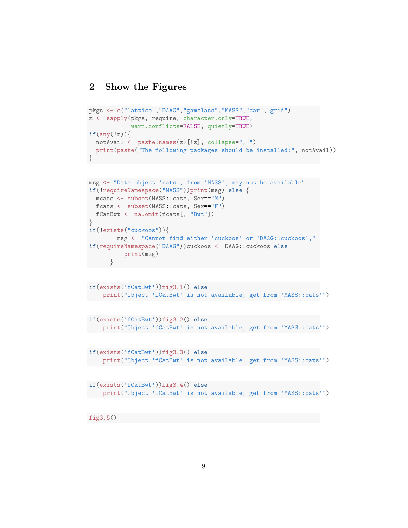### 2 Show the Figures

```
pkgs <- c("lattice","DAAG","gamclass","MASS","car","grid")
z <- sapply(pkgs, require, character.only=TRUE,
            warn.conflicts=FALSE, quietly=TRUE)
if(any(!z))notAvail <- paste(names(z)[!z], collapse=", ")
  print(paste("The following packages should be installed:", notAvail))
}
```

```
msg <- "Data object 'cats', from 'MASS', may not be available"
if(!requireNamespace("MASS"))print(msg) else {
mcats <- subset(MASS::cats, Sex=="M")
 fcats <- subset(MASS::cats, Sex=="F")
 fCatBwt <- na.omit(fcats[, "Bwt"])
}
if(!exists("cuckoos")){
       msg <- "Cannot find either 'cuckoos' or 'DAAG::cuckoos',"
if(requireNamespace("DAAG"))cuckoos <- DAAG::cuckoos else
          print(msg)
      }
```

```
if(exists('fCatBwt'))fig3.1() else
    print("Object 'fCatBwt' is not available; get from 'MASS::cats'")
```

```
if(exists('fCatBwt'))fig3.2() else
   print("Object 'fCatBwt' is not available; get from 'MASS::cats'")
```

```
if(exists('fCatBwt'))fig3.3() else
  print("Object 'fCatBwt' is not available; get from 'MASS::cats'")
```

```
if(exists('fCatBwt'))fig3.4() else
   print("Object 'fCatBwt' is not available; get from 'MASS::cats'")
```
fig3.5()